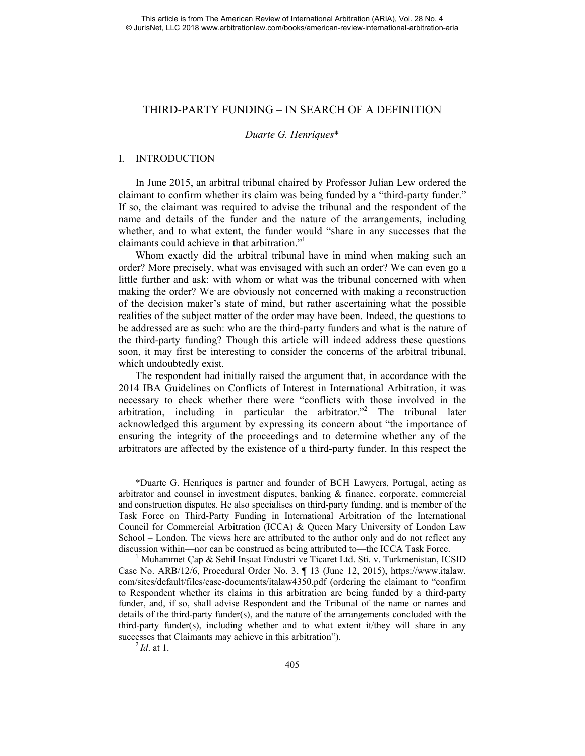# THIRD-PARTY FUNDING – IN SEARCH OF A DEFINITION

#### *Duarte G. Henriques*\*

## I. INTRODUCTION

 In June 2015, an arbitral tribunal chaired by Professor Julian Lew ordered the claimant to confirm whether its claim was being funded by a "third-party funder." If so, the claimant was required to advise the tribunal and the respondent of the name and details of the funder and the nature of the arrangements, including whether, and to what extent, the funder would "share in any successes that the claimants could achieve in that arbitration."1

 Whom exactly did the arbitral tribunal have in mind when making such an order? More precisely, what was envisaged with such an order? We can even go a little further and ask: with whom or what was the tribunal concerned with when making the order? We are obviously not concerned with making a reconstruction of the decision maker's state of mind, but rather ascertaining what the possible realities of the subject matter of the order may have been. Indeed, the questions to be addressed are as such: who are the third-party funders and what is the nature of the third-party funding? Though this article will indeed address these questions soon, it may first be interesting to consider the concerns of the arbitral tribunal, which undoubtedly exist.

 The respondent had initially raised the argument that, in accordance with the 2014 IBA Guidelines on Conflicts of Interest in International Arbitration, it was necessary to check whether there were "conflicts with those involved in the arbitration, including in particular the arbitrator."<sup>2</sup> The tribunal later acknowledged this argument by expressing its concern about "the importance of ensuring the integrity of the proceedings and to determine whether any of the arbitrators are affected by the existence of a third-party funder. In this respect the

 <sup>\*</sup>Duarte G. Henriques is partner and founder of BCH Lawyers, Portugal, acting as arbitrator and counsel in investment disputes, banking & finance, corporate, commercial and construction disputes. He also specialises on third-party funding, and is member of the Task Force on Third-Party Funding in International Arbitration of the International Council for Commercial Arbitration (ICCA) & Queen Mary University of London Law School – London. The views here are attributed to the author only and do not reflect any discussion within—nor can be construed as being attributed to—the ICCA Task Force. 1

<sup>&</sup>lt;sup>1</sup> Muhammet Çap & Sehil Inşaat Endustri ve Ticaret Ltd. Sti. v. Turkmenistan, ICSID Case No. ARB/12/6, Procedural Order No. 3, ¶ 13 (June 12, 2015), https://www.italaw. com/sites/default/files/case-documents/italaw4350.pdf (ordering the claimant to "confirm to Respondent whether its claims in this arbitration are being funded by a third-party funder, and, if so, shall advise Respondent and the Tribunal of the name or names and details of the third-party funder(s), and the nature of the arrangements concluded with the third-party funder(s), including whether and to what extent it/they will share in any successes that Claimants may achieve in this arbitration").<br><sup>2</sup>*Id*. at 1.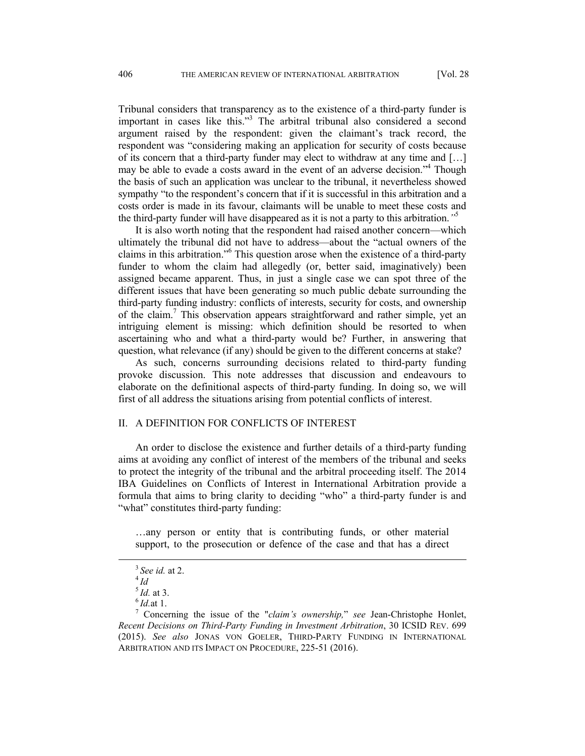Tribunal considers that transparency as to the existence of a third-party funder is important in cases like this."3 The arbitral tribunal also considered a second argument raised by the respondent: given the claimant's track record, the respondent was "considering making an application for security of costs because of its concern that a third-party funder may elect to withdraw at any time and […] may be able to evade a costs award in the event of an adverse decision."<sup>4</sup> Though the basis of such an application was unclear to the tribunal, it nevertheless showed sympathy "to the respondent's concern that if it is successful in this arbitration and a costs order is made in its favour, claimants will be unable to meet these costs and the third-party funder will have disappeared as it is not a party to this arbitration.*"*<sup>5</sup>

 It is also worth noting that the respondent had raised another concern—which ultimately the tribunal did not have to address—about the "actual owners of the claims in this arbitration."6 This question arose when the existence of a third-party funder to whom the claim had allegedly (or, better said, imaginatively) been assigned became apparent. Thus, in just a single case we can spot three of the different issues that have been generating so much public debate surrounding the third-party funding industry: conflicts of interests, security for costs, and ownership of the claim.<sup>7</sup> This observation appears straightforward and rather simple, yet an intriguing element is missing: which definition should be resorted to when ascertaining who and what a third-party would be? Further, in answering that question, what relevance (if any) should be given to the different concerns at stake?

 As such, concerns surrounding decisions related to third-party funding provoke discussion. This note addresses that discussion and endeavours to elaborate on the definitional aspects of third-party funding. In doing so, we will first of all address the situations arising from potential conflicts of interest.

### II. A DEFINITION FOR CONFLICTS OF INTEREST

An order to disclose the existence and further details of a third-party funding aims at avoiding any conflict of interest of the members of the tribunal and seeks to protect the integrity of the tribunal and the arbitral proceeding itself. The 2014 IBA Guidelines on Conflicts of Interest in International Arbitration provide a formula that aims to bring clarity to deciding "who" a third-party funder is and "what" constitutes third-party funding:

…any person or entity that is contributing funds, or other material support, to the prosecution or defence of the case and that has a direct

<sup>3</sup>*See id.* at 2. 4 *Id* 

<sup>&</sup>lt;sup>5</sup>*Id.* at 3. <sup>6</sup>*Id.* at 1.

Concerning the issue of the "*claim's ownership,*" *see* Jean-Christophe Honlet, *Recent Decisions on Third-Party Funding in Investment Arbitration*, 30 ICSID REV. 699 (2015). *See also* JONAS VON GOELER, THIRD-PARTY FUNDING IN INTERNATIONAL ARBITRATION AND ITS IMPACT ON PROCEDURE, 225-51 (2016).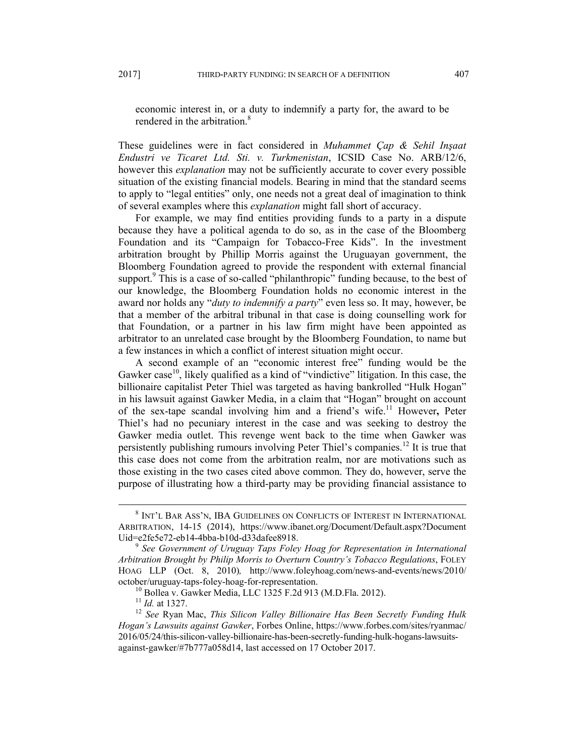economic interest in, or a duty to indemnify a party for, the award to be rendered in the arbitration.<sup>8</sup>

These guidelines were in fact considered in *Muhammet Çap & Sehil Inşaat Endustri ve Ticaret Ltd. Sti. v. Turkmenistan*, ICSID Case No. ARB/12/6, however this *explanation* may not be sufficiently accurate to cover every possible situation of the existing financial models. Bearing in mind that the standard seems to apply to "legal entities" only, one needs not a great deal of imagination to think of several examples where this *explanation* might fall short of accuracy.

For example, we may find entities providing funds to a party in a dispute because they have a political agenda to do so, as in the case of the Bloomberg Foundation and its "Campaign for Tobacco-Free Kids". In the investment arbitration brought by Phillip Morris against the Uruguayan government, the Bloomberg Foundation agreed to provide the respondent with external financial support.<sup>9</sup> This is a case of so-called "philanthropic" funding because, to the best of our knowledge, the Bloomberg Foundation holds no economic interest in the award nor holds any "*duty to indemnify a party*" even less so. It may, however, be that a member of the arbitral tribunal in that case is doing counselling work for that Foundation, or a partner in his law firm might have been appointed as arbitrator to an unrelated case brought by the Bloomberg Foundation, to name but a few instances in which a conflict of interest situation might occur.

A second example of an "economic interest free" funding would be the Gawker case<sup>10</sup>, likely qualified as a kind of "vindictive" litigation. In this case, the billionaire capitalist Peter Thiel was targeted as having bankrolled "Hulk Hogan" in his lawsuit against Gawker Media, in a claim that "Hogan" brought on account of the sex-tape scandal involving him and a friend's wife.11 However**,** Peter Thiel's had no pecuniary interest in the case and was seeking to destroy the Gawker media outlet. This revenge went back to the time when Gawker was persistently publishing rumours involving Peter Thiel's companies.<sup>12</sup> It is true that this case does not come from the arbitration realm, nor are motivations such as those existing in the two cases cited above common. They do, however, serve the purpose of illustrating how a third-party may be providing financial assistance to

 <sup>8</sup>  $^8$  Int'l Bar Ass'n, IBA GUIDELINES ON CONFLICTS OF INTEREST IN INTERNATIONAL ARBITRATION, 14-15 (2014), https://www.ibanet.org/Document/Default.aspx?Document Uid=e2fe5e72-eb14-4bba-b10d-d33dafee8918.<br><sup>9</sup> *See Government of Uruguay Taps Foley Hoag for Representation in International* 

*Arbitration Brought by Philip Morris to Overturn Country's Tobacco Regulations*, FOLEY HOAG LLP (Oct. 8, 2010)*,* http://www.foleyhoag.com/news-and-events/news/2010/ october/uruguay-taps-foley-hoag-for-representation.<br><sup>10</sup> Bollea v. Gawker Media, LLC 1325 F.2d 913 (M.D.Fla. 2012).<br><sup>11</sup> Id. at 1327.

<sup>&</sup>lt;sup>12</sup> See Ryan Mac, *This Silicon Valley Billionaire Has Been Secretly Funding Hulk Hogan's Lawsuits against Gawker*, Forbes Online, https://www.forbes.com/sites/ryanmac/ 2016/05/24/this-silicon-valley-billionaire-has-been-secretly-funding-hulk-hogans-lawsuitsagainst-gawker/#7b777a058d14, last accessed on 17 October 2017.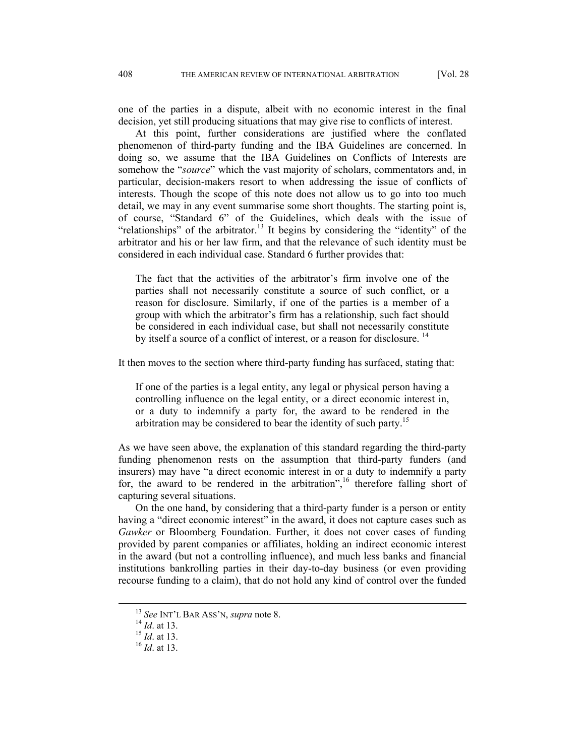one of the parties in a dispute, albeit with no economic interest in the final decision, yet still producing situations that may give rise to conflicts of interest.

At this point, further considerations are justified where the conflated phenomenon of third-party funding and the IBA Guidelines are concerned. In doing so, we assume that the IBA Guidelines on Conflicts of Interests are somehow the "*source*" which the vast majority of scholars, commentators and, in particular, decision-makers resort to when addressing the issue of conflicts of interests. Though the scope of this note does not allow us to go into too much detail, we may in any event summarise some short thoughts. The starting point is, of course, "Standard 6" of the Guidelines, which deals with the issue of "relationships" of the arbitrator.<sup>13</sup> It begins by considering the "identity" of the arbitrator and his or her law firm, and that the relevance of such identity must be considered in each individual case. Standard 6 further provides that:

The fact that the activities of the arbitrator's firm involve one of the parties shall not necessarily constitute a source of such conflict, or a reason for disclosure. Similarly, if one of the parties is a member of a group with which the arbitrator's firm has a relationship, such fact should be considered in each individual case, but shall not necessarily constitute by itself a source of a conflict of interest, or a reason for disclosure.<sup>14</sup>

It then moves to the section where third-party funding has surfaced, stating that:

If one of the parties is a legal entity, any legal or physical person having a controlling influence on the legal entity, or a direct economic interest in, or a duty to indemnify a party for, the award to be rendered in the arbitration may be considered to bear the identity of such party.15

As we have seen above, the explanation of this standard regarding the third-party funding phenomenon rests on the assumption that third-party funders (and insurers) may have "a direct economic interest in or a duty to indemnify a party for, the award to be rendered in the arbitration",  $16$  therefore falling short of capturing several situations.

On the one hand, by considering that a third-party funder is a person or entity having a "direct economic interest" in the award, it does not capture cases such as *Gawker* or Bloomberg Foundation. Further, it does not cover cases of funding provided by parent companies or affiliates, holding an indirect economic interest in the award (but not a controlling influence), and much less banks and financial institutions bankrolling parties in their day-to-day business (or even providing recourse funding to a claim), that do not hold any kind of control over the funded

<sup>13</sup> *See* INT'L BAR ASS'N, *supra* note 8. 14 *Id*. at 13. 15 *Id*. at 13. 16 *Id*. at 13.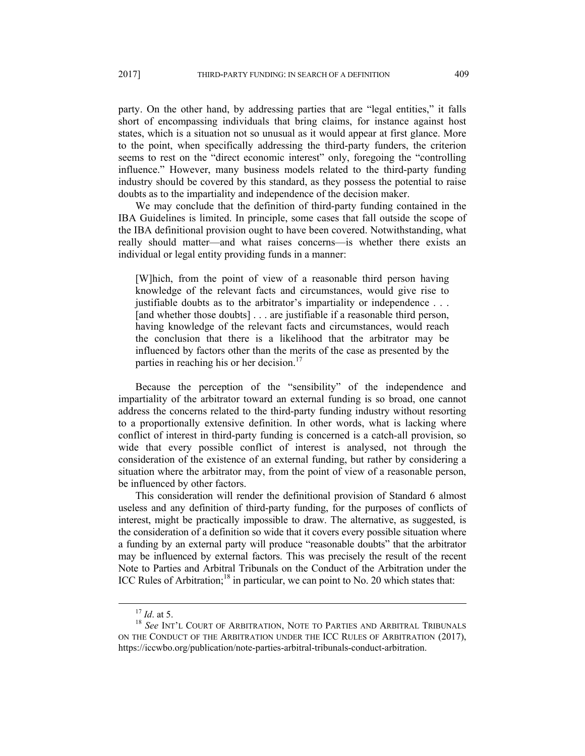party. On the other hand, by addressing parties that are "legal entities," it falls short of encompassing individuals that bring claims, for instance against host states, which is a situation not so unusual as it would appear at first glance. More to the point, when specifically addressing the third-party funders, the criterion seems to rest on the "direct economic interest" only, foregoing the "controlling influence." However, many business models related to the third-party funding industry should be covered by this standard, as they possess the potential to raise doubts as to the impartiality and independence of the decision maker.

We may conclude that the definition of third-party funding contained in the IBA Guidelines is limited. In principle, some cases that fall outside the scope of the IBA definitional provision ought to have been covered. Notwithstanding, what really should matter—and what raises concerns—is whether there exists an individual or legal entity providing funds in a manner:

[W]hich, from the point of view of a reasonable third person having knowledge of the relevant facts and circumstances, would give rise to justifiable doubts as to the arbitrator's impartiality or independence . . . [and whether those doubts] . . . are justifiable if a reasonable third person, having knowledge of the relevant facts and circumstances, would reach the conclusion that there is a likelihood that the arbitrator may be influenced by factors other than the merits of the case as presented by the parties in reaching his or her decision.<sup>17</sup>

Because the perception of the "sensibility" of the independence and impartiality of the arbitrator toward an external funding is so broad, one cannot address the concerns related to the third-party funding industry without resorting to a proportionally extensive definition. In other words, what is lacking where conflict of interest in third-party funding is concerned is a catch-all provision, so wide that every possible conflict of interest is analysed, not through the consideration of the existence of an external funding, but rather by considering a situation where the arbitrator may, from the point of view of a reasonable person, be influenced by other factors.

This consideration will render the definitional provision of Standard 6 almost useless and any definition of third-party funding, for the purposes of conflicts of interest, might be practically impossible to draw. The alternative, as suggested, is the consideration of a definition so wide that it covers every possible situation where a funding by an external party will produce "reasonable doubts" that the arbitrator may be influenced by external factors. This was precisely the result of the recent Note to Parties and Arbitral Tribunals on the Conduct of the Arbitration under the ICC Rules of Arbitration;<sup>18</sup> in particular, we can point to No. 20 which states that:

 $^{17}$   $Id.$  at 5.  $^{18}$   $Sec$   $\mbox{INT}^{\prime}$ L COURT OF ARBITRATION, NOTE TO PARTIES AND ARBITRAL TRIBUNALS ON THE CONDUCT OF THE ARBITRATION UNDER THE ICC RULES OF ARBITRATION (2017), https://iccwbo.org/publication/note-parties-arbitral-tribunals-conduct-arbitration.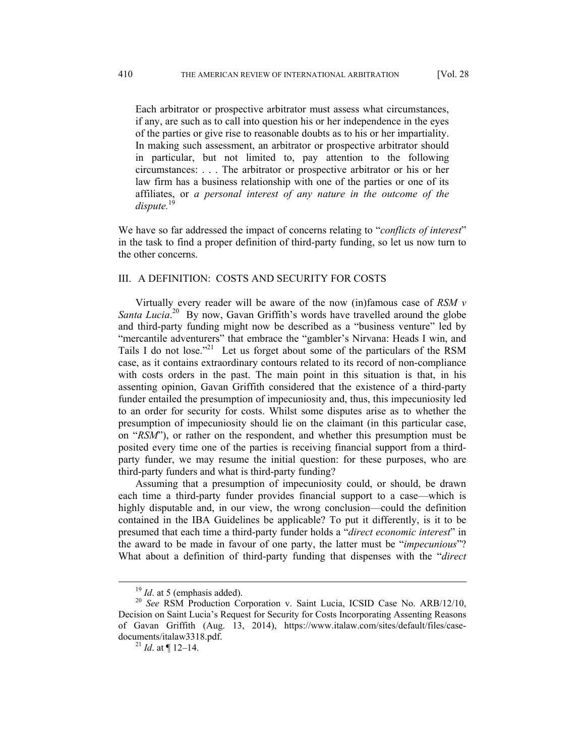Each arbitrator or prospective arbitrator must assess what circumstances, if any, are such as to call into question his or her independence in the eyes of the parties or give rise to reasonable doubts as to his or her impartiality. In making such assessment, an arbitrator or prospective arbitrator should in particular, but not limited to, pay attention to the following circumstances: . . . The arbitrator or prospective arbitrator or his or her law firm has a business relationship with one of the parties or one of its affiliates, or *a personal interest of any nature in the outcome of the*  dispute.<sup>19</sup>

We have so far addressed the impact of concerns relating to "*conflicts of interest*" in the task to find a proper definition of third-party funding, so let us now turn to the other concerns.

# III. A DEFINITION: COSTS AND SECURITY FOR COSTS

Virtually every reader will be aware of the now (in)famous case of *RSM v*  Santa Lucia.<sup>20</sup> By now, Gavan Griffith's words have travelled around the globe and third-party funding might now be described as a "business venture" led by "mercantile adventurers" that embrace the "gambler's Nirvana: Heads I win, and Tails I do not lose."<sup>21</sup> Let us forget about some of the particulars of the RSM case, as it contains extraordinary contours related to its record of non-compliance with costs orders in the past. The main point in this situation is that, in his assenting opinion, Gavan Griffith considered that the existence of a third-party funder entailed the presumption of impecuniosity and, thus, this impecuniosity led to an order for security for costs. Whilst some disputes arise as to whether the presumption of impecuniosity should lie on the claimant (in this particular case, on "*RSM*"), or rather on the respondent, and whether this presumption must be posited every time one of the parties is receiving financial support from a thirdparty funder, we may resume the initial question: for these purposes, who are third-party funders and what is third-party funding?

Assuming that a presumption of impecuniosity could, or should, be drawn each time a third-party funder provides financial support to a case—which is highly disputable and, in our view, the wrong conclusion—could the definition contained in the IBA Guidelines be applicable? To put it differently, is it to be presumed that each time a third-party funder holds a "*direct economic interest*" in the award to be made in favour of one party, the latter must be "*impecunious*"? What about a definition of third-party funding that dispenses with the "*direct* 

<sup>&</sup>lt;sup>19</sup> *Id.* at 5 (emphasis added). <sup>20</sup> *See* RSM Production Corporation v. Saint Lucia, ICSID Case No. ARB/12/10, Decision on Saint Lucia's Request for Security for Costs Incorporating Assenting Reasons of Gavan Griffith (Aug. 13, 2014), https://www.italaw.com/sites/default/files/casedocuments/italaw3318.pdf. 21 *Id*. at ¶ 12–14.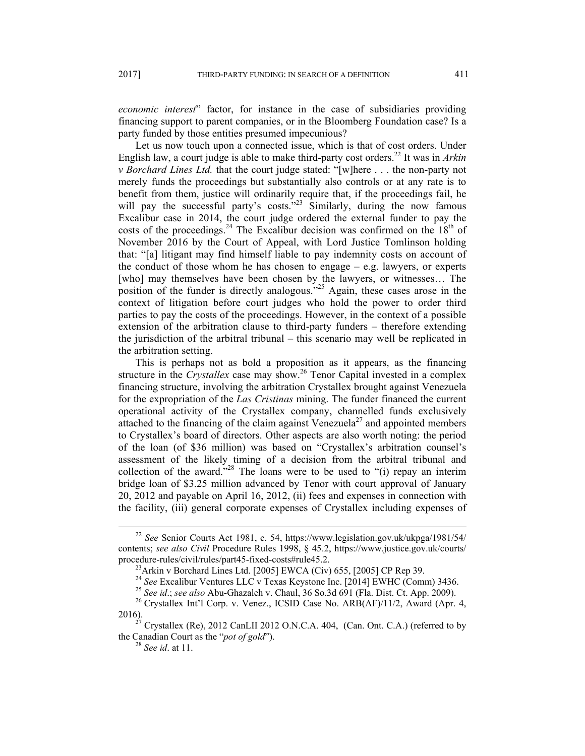*economic interest*" factor, for instance in the case of subsidiaries providing financing support to parent companies, or in the Bloomberg Foundation case? Is a party funded by those entities presumed impecunious?

Let us now touch upon a connected issue, which is that of cost orders. Under English law, a court judge is able to make third-party cost orders.22 It was in *Arkin v Borchard Lines Ltd.* that the court judge stated: "[w]here . . . the non-party not merely funds the proceedings but substantially also controls or at any rate is to benefit from them, justice will ordinarily require that, if the proceedings fail, he will pay the successful party's costs.<sup>723</sup> Similarly, during the now famous Excalibur case in 2014, the court judge ordered the external funder to pay the costs of the proceedings.<sup>24</sup> The Excalibur decision was confirmed on the  $18<sup>th</sup>$  of November 2016 by the Court of Appeal, with Lord Justice Tomlinson holding that: "[a] litigant may find himself liable to pay indemnity costs on account of the conduct of those whom he has chosen to engage  $-$  e.g. lawyers, or experts [who] may themselves have been chosen by the lawyers, or witnesses... The position of the funder is directly analogous."25 Again, these cases arose in the context of litigation before court judges who hold the power to order third parties to pay the costs of the proceedings. However, in the context of a possible extension of the arbitration clause to third-party funders – therefore extending the jurisdiction of the arbitral tribunal – this scenario may well be replicated in the arbitration setting.

This is perhaps not as bold a proposition as it appears, as the financing structure in the *Crystallex* case may show.<sup>26</sup> Tenor Capital invested in a complex financing structure, involving the arbitration Crystallex brought against Venezuela for the expropriation of the *Las Cristinas* mining. The funder financed the current operational activity of the Crystallex company, channelled funds exclusively attached to the financing of the claim against Venezuela<sup>27</sup> and appointed members to Crystallex's board of directors. Other aspects are also worth noting: the period of the loan (of \$36 million) was based on "Crystallex's arbitration counsel's assessment of the likely timing of a decision from the arbitral tribunal and collection of the award."28 The loans were to be used to "(i) repay an interim bridge loan of \$3.25 million advanced by Tenor with court approval of January 20, 2012 and payable on April 16, 2012, (ii) fees and expenses in connection with the facility, (iii) general corporate expenses of Crystallex including expenses of

 <sup>22</sup> *See* Senior Courts Act 1981, c. 54, https://www.legislation.gov.uk/ukpga/1981/54/ contents; *see also Civil* Procedure Rules 1998, § 45.2, https://www.justice.gov.uk/courts/ procedure-rules/civil/rules/part45-fixed-costs#rule45.2.<br><sup>23</sup>Arkin v Borchard Lines Ltd. [2005] EWCA (Civ) 655, [2005] CP Rep 39.<br><sup>24</sup> See Excalibur Ventures LLC v Texas Keystone Inc. [2014] EWHC (Comm) 3436.

<sup>&</sup>lt;sup>25</sup> See id.; see also Abu-Ghazaleh v. Chaul, 36 So.3d 691 (Fla. Dist. Ct. App. 2009).<br><sup>26</sup> Crystallex Int'l Corp. v. Venez., ICSID Case No. ARB(AF)/11/2, Award (Apr. 4, 2016).<br><sup>27</sup> Crystallex (Re), 2012 CanLII 2012 O.N.C.A. 404, (Can. Ont. C.A.) (referred to by

the Canadian Court as the "*pot of gold*"). 28 *See id*. at 11.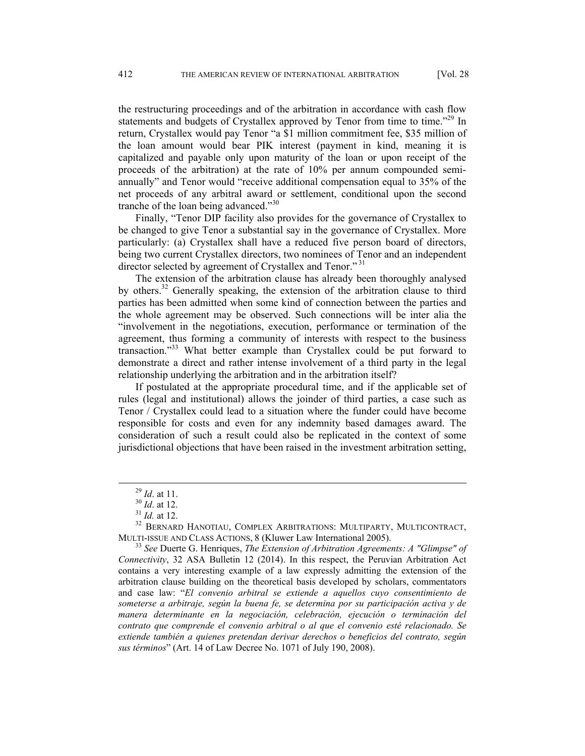the restructuring proceedings and of the arbitration in accordance with cash flow statements and budgets of Crystallex approved by Tenor from time to time."<sup>29</sup> In return, Crystallex would pay Tenor "a \$1 million commitment fee, \$35 million of the loan amount would bear PIK interest (payment in kind, meaning it is capitalized and payable only upon maturity of the loan or upon receipt of the proceeds of the arbitration) at the rate of 10% per annum compounded semiannually" and Tenor would "receive additional compensation equal to 35% of the net proceeds of any arbitral award or settlement, conditional upon the second tranche of the loan being advanced."<sup>30</sup>

Finally, "Tenor DIP facility also provides for the governance of Crystallex to be changed to give Tenor a substantial say in the governance of Crystallex. More particularly: (a) Crystallex shall have a reduced five person board of directors, being two current Crystallex directors, two nominees of Tenor and an independent director selected by agreement of Crystallex and Tenor."<sup>31</sup>

The extension of the arbitration clause has already been thoroughly analysed by others.32 Generally speaking, the extension of the arbitration clause to third parties has been admitted when some kind of connection between the parties and the whole agreement may be observed. Such connections will be inter alia the "involvement in the negotiations, execution, performance or termination of the agreement, thus forming a community of interests with respect to the business transaction."33 What better example than Crystallex could be put forward to demonstrate a direct and rather intense involvement of a third party in the legal relationship underlying the arbitration and in the arbitration itself?

If postulated at the appropriate procedural time, and if the applicable set of rules (legal and institutional) allows the joinder of third parties, a case such as Tenor / Crystallex could lead to a situation where the funder could have become responsible for costs and even for any indemnity based damages award. The consideration of such a result could also be replicated in the context of some jurisdictional objections that have been raised in the investment arbitration setting,

<sup>&</sup>lt;sup>29</sup> *Id.* at 11.<br><sup>30</sup> *Id.* at 12.<br><sup>31</sup> *Id.* at 12.<br><sup>32</sup> BERNARD HANOTIAU, COMPLEX ARBITRATIONS: MULTIPARTY, MULTICONTRACT, MULTI-ISSUE AND CLASS ACTIONS, 8 (Kluwer Law International 2005). 33 *See* Duerte G. Henriques, *The Extension of Arbitration Agreements: A "Glimpse" of* 

*Connectivity*, 32 ASA Bulletin 12 (2014). In this respect, the Peruvian Arbitration Act contains a very interesting example of a law expressly admitting the extension of the arbitration clause building on the theoretical basis developed by scholars, commentators and case law: "*El convenio arbitral se extiende a aquellos cuyo consentimiento de someterse a arbitraje, según la buena fe, se determina por su participación activa y de manera determinante en la negociación, celebración, ejecución o terminación del contrato que comprende el convenio arbitral o al que el convenio esté relacionado. Se extiende también a quienes pretendan derivar derechos o beneficios del contrato, según sus términos*" (Art. 14 of Law Decree No. 1071 of July 190, 2008).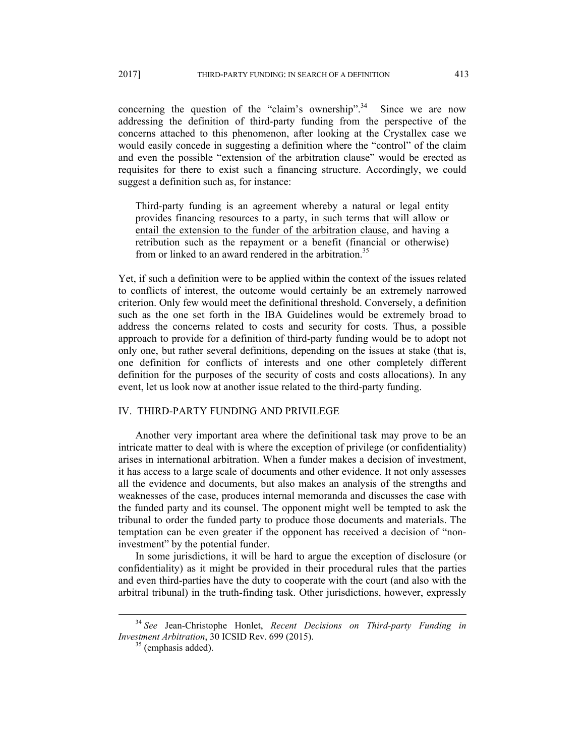concerning the question of the "claim's ownership".<sup>34</sup> Since we are now addressing the definition of third-party funding from the perspective of the concerns attached to this phenomenon, after looking at the Crystallex case we would easily concede in suggesting a definition where the "control" of the claim and even the possible "extension of the arbitration clause" would be erected as requisites for there to exist such a financing structure. Accordingly, we could suggest a definition such as, for instance:

Third-party funding is an agreement whereby a natural or legal entity provides financing resources to a party, in such terms that will allow or entail the extension to the funder of the arbitration clause, and having a retribution such as the repayment or a benefit (financial or otherwise) from or linked to an award rendered in the arbitration.<sup>35</sup>

Yet, if such a definition were to be applied within the context of the issues related to conflicts of interest, the outcome would certainly be an extremely narrowed criterion. Only few would meet the definitional threshold. Conversely, a definition such as the one set forth in the IBA Guidelines would be extremely broad to address the concerns related to costs and security for costs. Thus, a possible approach to provide for a definition of third-party funding would be to adopt not only one, but rather several definitions, depending on the issues at stake (that is, one definition for conflicts of interests and one other completely different definition for the purposes of the security of costs and costs allocations). In any event, let us look now at another issue related to the third-party funding.

## IV. THIRD-PARTY FUNDING AND PRIVILEGE

Another very important area where the definitional task may prove to be an intricate matter to deal with is where the exception of privilege (or confidentiality) arises in international arbitration. When a funder makes a decision of investment, it has access to a large scale of documents and other evidence. It not only assesses all the evidence and documents, but also makes an analysis of the strengths and weaknesses of the case, produces internal memoranda and discusses the case with the funded party and its counsel. The opponent might well be tempted to ask the tribunal to order the funded party to produce those documents and materials. The temptation can be even greater if the opponent has received a decision of "noninvestment" by the potential funder.

In some jurisdictions, it will be hard to argue the exception of disclosure (or confidentiality) as it might be provided in their procedural rules that the parties and even third-parties have the duty to cooperate with the court (and also with the arbitral tribunal) in the truth-finding task. Other jurisdictions, however, expressly

 <sup>34</sup> *See* Jean-Christophe Honlet, *Recent Decisions on Third-party Funding in Investment Arbitration*, 30 ICSID Rev. 699 (2015).<br><sup>35</sup> (emphasis added).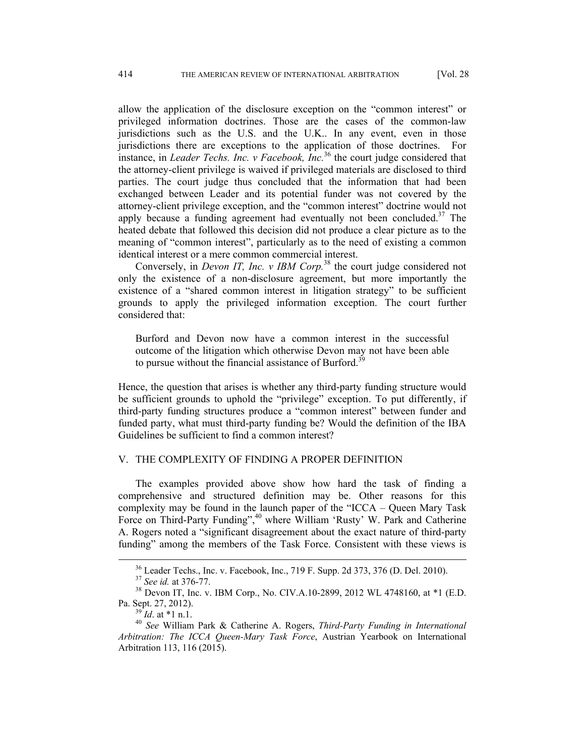allow the application of the disclosure exception on the "common interest" or privileged information doctrines. Those are the cases of the common-law jurisdictions such as the U.S. and the U.K.. In any event, even in those jurisdictions there are exceptions to the application of those doctrines. For instance, in *Leader Techs. Inc. v Facebook, Inc.*<sup>36</sup> the court judge considered that the attorney-client privilege is waived if privileged materials are disclosed to third parties. The court judge thus concluded that the information that had been exchanged between Leader and its potential funder was not covered by the attorney-client privilege exception, and the "common interest" doctrine would not apply because a funding agreement had eventually not been concluded.<sup>37</sup> The heated debate that followed this decision did not produce a clear picture as to the meaning of "common interest", particularly as to the need of existing a common identical interest or a mere common commercial interest.

Conversely, in *Devon IT, Inc. v IBM Corp.*<sup>38</sup> the court judge considered not only the existence of a non-disclosure agreement, but more importantly the existence of a "shared common interest in litigation strategy" to be sufficient grounds to apply the privileged information exception. The court further considered that:

Burford and Devon now have a common interest in the successful outcome of the litigation which otherwise Devon may not have been able to pursue without the financial assistance of Burford.<sup>39</sup>

Hence, the question that arises is whether any third-party funding structure would be sufficient grounds to uphold the "privilege" exception. To put differently, if third-party funding structures produce a "common interest" between funder and funded party, what must third-party funding be? Would the definition of the IBA Guidelines be sufficient to find a common interest?

### V. THE COMPLEXITY OF FINDING A PROPER DEFINITION

 The examples provided above show how hard the task of finding a comprehensive and structured definition may be. Other reasons for this complexity may be found in the launch paper of the "ICCA – Queen Mary Task Force on Third-Party Funding",<sup>40</sup> where William 'Rusty' W. Park and Catherine A. Rogers noted a "significant disagreement about the exact nature of third-party funding" among the members of the Task Force. Consistent with these views is

<sup>&</sup>lt;sup>36</sup> Leader Techs., Inc. v. Facebook, Inc., 719 F. Supp. 2d 373, 376 (D. Del. 2010).<br><sup>37</sup> *See id.* at 376-77. <br><sup>38</sup> Devon IT, Inc. v. IBM Corp., No. CIV.A.10-2899, 2012 WL 4748160, at \*1 (E.D.

Pa. Sept. 27, 2012). 39 *Id*. at \*1 n.1. 40 *See* William Park & Catherine A. Rogers, *Third-Party Funding in International Arbitration: The ICCA Queen-Mary Task Force*, Austrian Yearbook on International Arbitration 113, 116 (2015).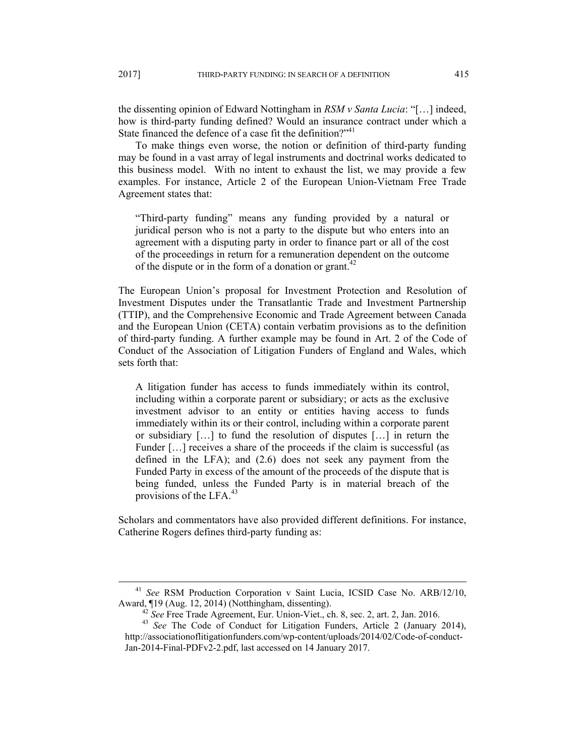the dissenting opinion of Edward Nottingham in *RSM v Santa Lucia*: "[…] indeed, how is third-party funding defined? Would an insurance contract under which a State financed the defence of a case fit the definition? $"$ <sup>41</sup>

 To make things even worse, the notion or definition of third-party funding may be found in a vast array of legal instruments and doctrinal works dedicated to this business model. With no intent to exhaust the list, we may provide a few examples. For instance, Article 2 of the European Union-Vietnam Free Trade Agreement states that:

"Third-party funding" means any funding provided by a natural or juridical person who is not a party to the dispute but who enters into an agreement with a disputing party in order to finance part or all of the cost of the proceedings in return for a remuneration dependent on the outcome of the dispute or in the form of a donation or grant.<sup>42</sup>

The European Union's proposal for Investment Protection and Resolution of Investment Disputes under the Transatlantic Trade and Investment Partnership (TTIP), and the Comprehensive Economic and Trade Agreement between Canada and the European Union (CETA) contain verbatim provisions as to the definition of third-party funding. A further example may be found in Art. 2 of the Code of Conduct of the Association of Litigation Funders of England and Wales, which sets forth that:

A litigation funder has access to funds immediately within its control, including within a corporate parent or subsidiary; or acts as the exclusive investment advisor to an entity or entities having access to funds immediately within its or their control, including within a corporate parent or subsidiary […] to fund the resolution of disputes […] in return the Funder [...] receives a share of the proceeds if the claim is successful (as defined in the LFA); and (2.6) does not seek any payment from the Funded Party in excess of the amount of the proceeds of the dispute that is being funded, unless the Funded Party is in material breach of the provisions of the LFA. $^{43}$ 

Scholars and commentators have also provided different definitions. For instance, Catherine Rogers defines third-party funding as:

<sup>&</sup>lt;sup>41</sup> See RSM Production Corporation v Saint Lucia, ICSID Case No. ARB/12/10, Award, ¶19 (Aug. 12, 2014) (Notthingham, dissenting).<br><sup>42</sup> See Free Trade Agreement, Eur. Union-Viet., ch. 8, sec. 2, art. 2, Jan. 2016.<br><sup>43</sup> See The Code of Conduct for Litigation Funders, Article 2 (January 2014),

http://associationoflitigationfunders.com/wp-content/uploads/2014/02/Code-of-conduct-Jan-2014-Final-PDFv2-2.pdf, last accessed on 14 January 2017.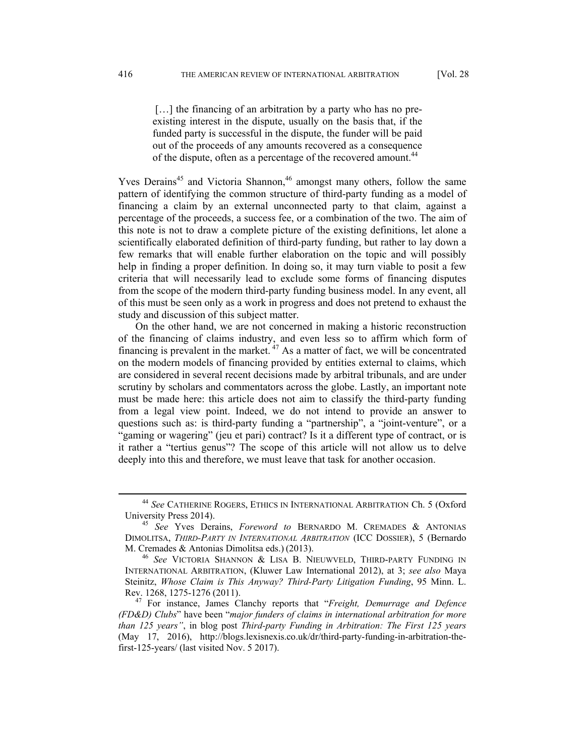[...] the financing of an arbitration by a party who has no preexisting interest in the dispute, usually on the basis that, if the funded party is successful in the dispute, the funder will be paid out of the proceeds of any amounts recovered as a consequence of the dispute, often as a percentage of the recovered amount.<sup>44</sup>

Yves Derains<sup>45</sup> and Victoria Shannon,<sup>46</sup> amongst many others, follow the same pattern of identifying the common structure of third-party funding as a model of financing a claim by an external unconnected party to that claim, against a percentage of the proceeds, a success fee, or a combination of the two. The aim of this note is not to draw a complete picture of the existing definitions, let alone a scientifically elaborated definition of third-party funding, but rather to lay down a few remarks that will enable further elaboration on the topic and will possibly help in finding a proper definition. In doing so, it may turn viable to posit a few criteria that will necessarily lead to exclude some forms of financing disputes from the scope of the modern third-party funding business model. In any event, all of this must be seen only as a work in progress and does not pretend to exhaust the study and discussion of this subject matter.

On the other hand, we are not concerned in making a historic reconstruction of the financing of claims industry, and even less so to affirm which form of financing is prevalent in the market.  $47$  As a matter of fact, we will be concentrated on the modern models of financing provided by entities external to claims, which are considered in several recent decisions made by arbitral tribunals, and are under scrutiny by scholars and commentators across the globe. Lastly, an important note must be made here: this article does not aim to classify the third-party funding from a legal view point. Indeed, we do not intend to provide an answer to questions such as: is third-party funding a "partnership", a "joint-venture", or a "gaming or wagering" (jeu et pari) contract? Is it a different type of contract, or is it rather a "tertius genus"? The scope of this article will not allow us to delve deeply into this and therefore, we must leave that task for another occasion.

 <sup>44</sup> *See* CATHERINE ROGERS, ETHICS IN INTERNATIONAL ARBITRATION Ch. 5 (Oxford University Press 2014). 45 *See* Yves Derains, *Foreword to* BERNARDO M. CREMADES & ANTONIAS

DIMOLITSA, *THIRD-PARTY IN INTERNATIONAL ARBITRATION* (ICC DOSSIER), 5 (Bernardo

M. Cremades & Antonias Dimolitsa eds.) (2013). 46 *See* VICTORIA SHANNON & LISA B. NIEUWVELD, THIRD-PARTY FUNDING IN INTERNATIONAL ARBITRATION, (Kluwer Law International 2012), at 3; *see also* Maya Steinitz, *Whose Claim is This Anyway? Third-Party Litigation Funding*, 95 Minn. L.

<sup>&</sup>lt;sup>47</sup> For instance, James Clanchy reports that "*Freight, Demurrage and Defence (FD&D) Clubs*" have been "*major funders of claims in international arbitration for more than 125 years"*, in blog post *Third-party Funding in Arbitration: The First 125 years*  (May 17, 2016), http://blogs.lexisnexis.co.uk/dr/third-party-funding-in-arbitration-thefirst-125-years/ (last visited Nov. 5 2017).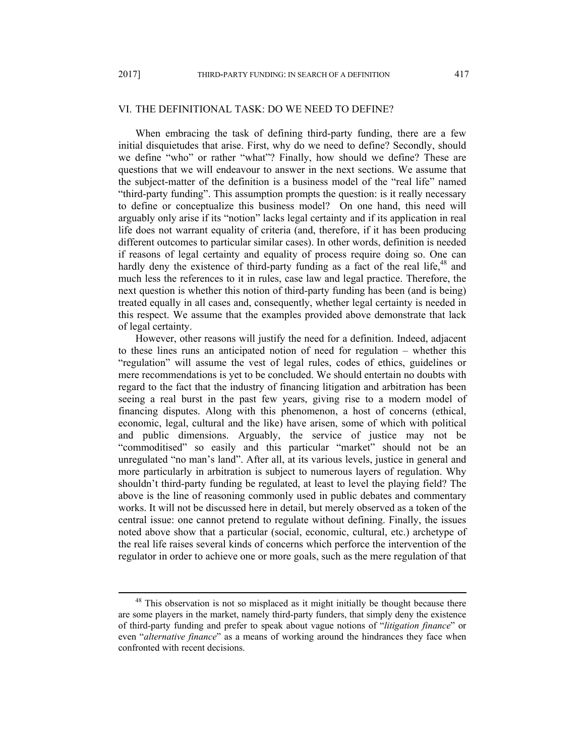# VI. THE DEFINITIONAL TASK: DO WE NEED TO DEFINE?

When embracing the task of defining third-party funding, there are a few initial disquietudes that arise. First, why do we need to define? Secondly, should we define "who" or rather "what"? Finally, how should we define? These are questions that we will endeavour to answer in the next sections. We assume that the subject-matter of the definition is a business model of the "real life" named "third-party funding". This assumption prompts the question: is it really necessary to define or conceptualize this business model? On one hand, this need will arguably only arise if its "notion" lacks legal certainty and if its application in real life does not warrant equality of criteria (and, therefore, if it has been producing different outcomes to particular similar cases). In other words, definition is needed if reasons of legal certainty and equality of process require doing so. One can hardly deny the existence of third-party funding as a fact of the real life, $48$  and much less the references to it in rules, case law and legal practice. Therefore, the next question is whether this notion of third-party funding has been (and is being) treated equally in all cases and, consequently, whether legal certainty is needed in this respect. We assume that the examples provided above demonstrate that lack of legal certainty.

However, other reasons will justify the need for a definition. Indeed, adjacent to these lines runs an anticipated notion of need for regulation – whether this "regulation" will assume the vest of legal rules, codes of ethics, guidelines or mere recommendations is yet to be concluded. We should entertain no doubts with regard to the fact that the industry of financing litigation and arbitration has been seeing a real burst in the past few years, giving rise to a modern model of financing disputes. Along with this phenomenon, a host of concerns (ethical, economic, legal, cultural and the like) have arisen, some of which with political and public dimensions. Arguably, the service of justice may not be "commoditised" so easily and this particular "market" should not be an unregulated "no man's land". After all, at its various levels, justice in general and more particularly in arbitration is subject to numerous layers of regulation. Why shouldn't third-party funding be regulated, at least to level the playing field? The above is the line of reasoning commonly used in public debates and commentary works. It will not be discussed here in detail, but merely observed as a token of the central issue: one cannot pretend to regulate without defining. Finally, the issues noted above show that a particular (social, economic, cultural, etc.) archetype of the real life raises several kinds of concerns which perforce the intervention of the regulator in order to achieve one or more goals, such as the mere regulation of that

<sup>&</sup>lt;sup>48</sup> This observation is not so misplaced as it might initially be thought because there are some players in the market, namely third-party funders, that simply deny the existence of third-party funding and prefer to speak about vague notions of "*litigation finance*" or even "*alternative finance*" as a means of working around the hindrances they face when confronted with recent decisions.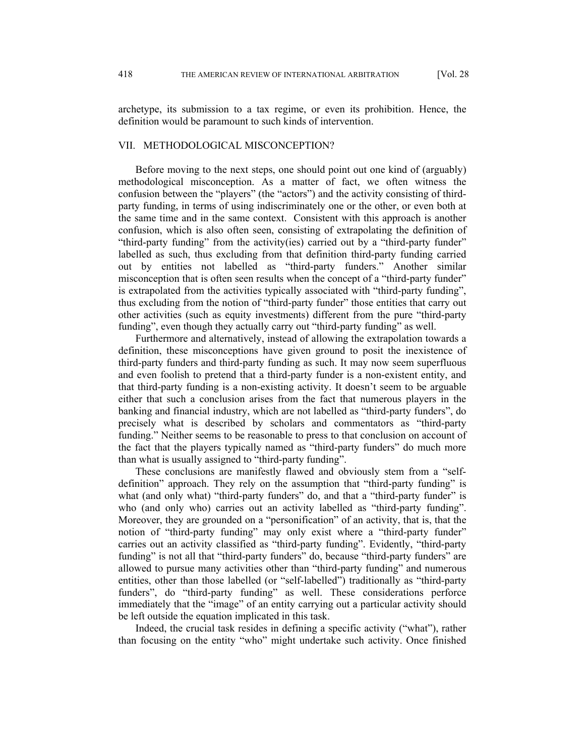archetype, its submission to a tax regime, or even its prohibition. Hence, the definition would be paramount to such kinds of intervention.

#### VII. METHODOLOGICAL MISCONCEPTION?

Before moving to the next steps, one should point out one kind of (arguably) methodological misconception. As a matter of fact, we often witness the confusion between the "players" (the "actors") and the activity consisting of thirdparty funding, in terms of using indiscriminately one or the other, or even both at the same time and in the same context. Consistent with this approach is another confusion, which is also often seen, consisting of extrapolating the definition of "third-party funding" from the activity(ies) carried out by a "third-party funder" labelled as such, thus excluding from that definition third-party funding carried out by entities not labelled as "third-party funders." Another similar misconception that is often seen results when the concept of a "third-party funder" is extrapolated from the activities typically associated with "third-party funding", thus excluding from the notion of "third-party funder" those entities that carry out other activities (such as equity investments) different from the pure "third-party funding", even though they actually carry out "third-party funding" as well.

Furthermore and alternatively, instead of allowing the extrapolation towards a definition, these misconceptions have given ground to posit the inexistence of third-party funders and third-party funding as such. It may now seem superfluous and even foolish to pretend that a third-party funder is a non-existent entity, and that third-party funding is a non-existing activity. It doesn't seem to be arguable either that such a conclusion arises from the fact that numerous players in the banking and financial industry, which are not labelled as "third-party funders", do precisely what is described by scholars and commentators as "third-party funding." Neither seems to be reasonable to press to that conclusion on account of the fact that the players typically named as "third-party funders" do much more than what is usually assigned to "third-party funding".

These conclusions are manifestly flawed and obviously stem from a "selfdefinition" approach. They rely on the assumption that "third-party funding" is what (and only what) "third-party funders" do, and that a "third-party funder" is who (and only who) carries out an activity labelled as "third-party funding". Moreover, they are grounded on a "personification" of an activity, that is, that the notion of "third-party funding" may only exist where a "third-party funder" carries out an activity classified as "third-party funding". Evidently, "third-party funding" is not all that "third-party funders" do, because "third-party funders" are allowed to pursue many activities other than "third-party funding" and numerous entities, other than those labelled (or "self-labelled") traditionally as "third-party funders", do "third-party funding" as well. These considerations perforce immediately that the "image" of an entity carrying out a particular activity should be left outside the equation implicated in this task.

Indeed, the crucial task resides in defining a specific activity ("what"), rather than focusing on the entity "who" might undertake such activity. Once finished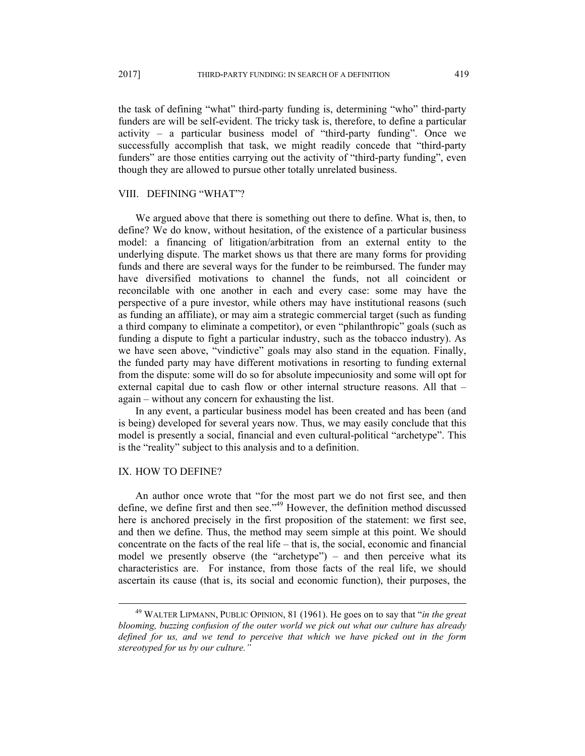the task of defining "what" third-party funding is, determining "who" third-party funders are will be self-evident. The tricky task is, therefore, to define a particular activity – a particular business model of "third-party funding". Once we successfully accomplish that task, we might readily concede that "third-party funders" are those entities carrying out the activity of "third-party funding", even though they are allowed to pursue other totally unrelated business.

# VIII. DEFINING "WHAT"?

We argued above that there is something out there to define. What is, then, to define? We do know, without hesitation, of the existence of a particular business model: a financing of litigation/arbitration from an external entity to the underlying dispute. The market shows us that there are many forms for providing funds and there are several ways for the funder to be reimbursed. The funder may have diversified motivations to channel the funds, not all coincident or reconcilable with one another in each and every case: some may have the perspective of a pure investor, while others may have institutional reasons (such as funding an affiliate), or may aim a strategic commercial target (such as funding a third company to eliminate a competitor), or even "philanthropic" goals (such as funding a dispute to fight a particular industry, such as the tobacco industry). As we have seen above, "vindictive" goals may also stand in the equation. Finally, the funded party may have different motivations in resorting to funding external from the dispute: some will do so for absolute impecuniosity and some will opt for external capital due to cash flow or other internal structure reasons. All that – again – without any concern for exhausting the list.

In any event, a particular business model has been created and has been (and is being) developed for several years now. Thus, we may easily conclude that this model is presently a social, financial and even cultural-political "archetype". This is the "reality" subject to this analysis and to a definition.

#### IX. HOW TO DEFINE?

An author once wrote that "for the most part we do not first see, and then define, we define first and then see."<sup>49</sup> However, the definition method discussed here is anchored precisely in the first proposition of the statement: we first see, and then we define. Thus, the method may seem simple at this point. We should concentrate on the facts of the real life – that is, the social, economic and financial model we presently observe (the "archetype") – and then perceive what its characteristics are. For instance, from those facts of the real life, we should ascertain its cause (that is, its social and economic function), their purposes, the

 <sup>49</sup> WALTER LIPMANN, PUBLIC OPINION, 81 (1961). He goes on to say that "*in the great blooming, buzzing confusion of the outer world we pick out what our culture has already defined for us, and we tend to perceive that which we have picked out in the form stereotyped for us by our culture."*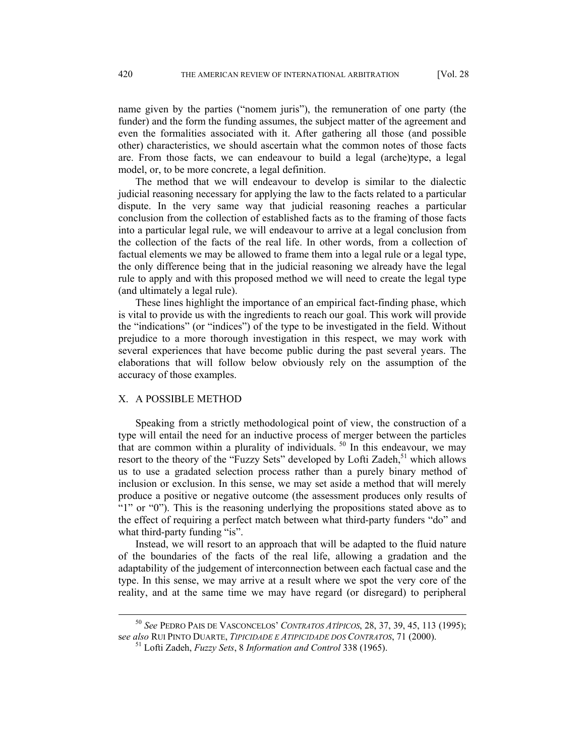name given by the parties ("nomem juris"), the remuneration of one party (the funder) and the form the funding assumes, the subject matter of the agreement and even the formalities associated with it. After gathering all those (and possible other) characteristics, we should ascertain what the common notes of those facts are. From those facts, we can endeavour to build a legal (arche)type, a legal model, or, to be more concrete, a legal definition.

The method that we will endeavour to develop is similar to the dialectic judicial reasoning necessary for applying the law to the facts related to a particular dispute. In the very same way that judicial reasoning reaches a particular conclusion from the collection of established facts as to the framing of those facts into a particular legal rule, we will endeavour to arrive at a legal conclusion from the collection of the facts of the real life. In other words, from a collection of factual elements we may be allowed to frame them into a legal rule or a legal type, the only difference being that in the judicial reasoning we already have the legal rule to apply and with this proposed method we will need to create the legal type (and ultimately a legal rule).

These lines highlight the importance of an empirical fact-finding phase, which is vital to provide us with the ingredients to reach our goal. This work will provide the "indications" (or "indices") of the type to be investigated in the field. Without prejudice to a more thorough investigation in this respect, we may work with several experiences that have become public during the past several years. The elaborations that will follow below obviously rely on the assumption of the accuracy of those examples.

# X. A POSSIBLE METHOD

Speaking from a strictly methodological point of view, the construction of a type will entail the need for an inductive process of merger between the particles that are common within a plurality of individuals.  $50$  In this endeavour, we may resort to the theory of the "Fuzzy Sets" developed by Lofti Zadeh,<sup>51</sup> which allows us to use a gradated selection process rather than a purely binary method of inclusion or exclusion. In this sense, we may set aside a method that will merely produce a positive or negative outcome (the assessment produces only results of "1" or "0"). This is the reasoning underlying the propositions stated above as to the effect of requiring a perfect match between what third-party funders "do" and what third-party funding "is".

Instead, we will resort to an approach that will be adapted to the fluid nature of the boundaries of the facts of the real life, allowing a gradation and the adaptability of the judgement of interconnection between each factual case and the type. In this sense, we may arrive at a result where we spot the very core of the reality, and at the same time we may have regard (or disregard) to peripheral

 <sup>50</sup> *See* PEDRO PAIS DE VASCONCELOS' *CONTRATOS ATÍPICOS*, 28, 37, 39, 45, 113 (1995); <sup>s</sup>*ee also* RUI PINTO DUARTE, *TIPICIDADE E ATIPICIDADE DOS CONTRATOS*, 71 (2000). 51 Lofti Zadeh, *Fuzzy Sets*, 8 *Information and Control* 338 (1965).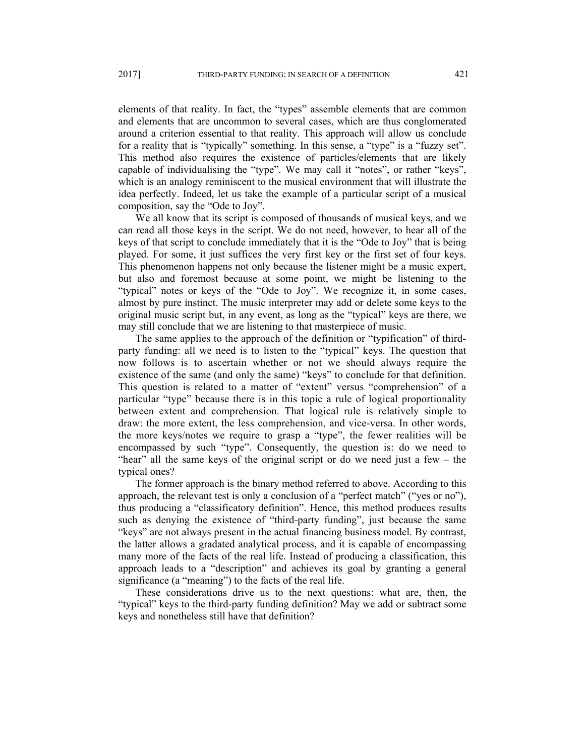elements of that reality. In fact, the "types" assemble elements that are common and elements that are uncommon to several cases, which are thus conglomerated around a criterion essential to that reality. This approach will allow us conclude for a reality that is "typically" something. In this sense, a "type" is a "fuzzy set". This method also requires the existence of particles/elements that are likely capable of individualising the "type". We may call it "notes", or rather "keys", which is an analogy reminiscent to the musical environment that will illustrate the idea perfectly. Indeed, let us take the example of a particular script of a musical composition, say the "Ode to Joy".

We all know that its script is composed of thousands of musical keys, and we can read all those keys in the script. We do not need, however, to hear all of the keys of that script to conclude immediately that it is the "Ode to Joy" that is being played. For some, it just suffices the very first key or the first set of four keys. This phenomenon happens not only because the listener might be a music expert, but also and foremost because at some point, we might be listening to the "typical" notes or keys of the "Ode to Joy". We recognize it, in some cases, almost by pure instinct. The music interpreter may add or delete some keys to the original music script but, in any event, as long as the "typical" keys are there, we may still conclude that we are listening to that masterpiece of music.

The same applies to the approach of the definition or "typification" of thirdparty funding: all we need is to listen to the "typical" keys. The question that now follows is to ascertain whether or not we should always require the existence of the same (and only the same) "keys" to conclude for that definition. This question is related to a matter of "extent" versus "comprehension" of a particular "type" because there is in this topic a rule of logical proportionality between extent and comprehension. That logical rule is relatively simple to draw: the more extent, the less comprehension, and vice-versa. In other words, the more keys/notes we require to grasp a "type", the fewer realities will be encompassed by such "type". Consequently, the question is: do we need to "hear" all the same keys of the original script or do we need just a few – the typical ones?

The former approach is the binary method referred to above. According to this approach, the relevant test is only a conclusion of a "perfect match" ("yes or no"), thus producing a "classificatory definition". Hence, this method produces results such as denying the existence of "third-party funding", just because the same "keys" are not always present in the actual financing business model. By contrast, the latter allows a gradated analytical process, and it is capable of encompassing many more of the facts of the real life. Instead of producing a classification, this approach leads to a "description" and achieves its goal by granting a general significance (a "meaning") to the facts of the real life.

These considerations drive us to the next questions: what are, then, the "typical" keys to the third-party funding definition? May we add or subtract some keys and nonetheless still have that definition?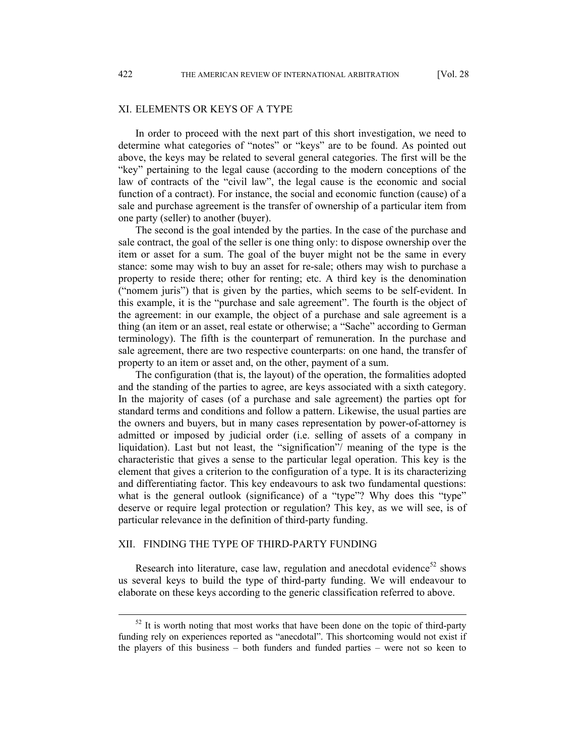# XI. ELEMENTS OR KEYS OF A TYPE

In order to proceed with the next part of this short investigation, we need to determine what categories of "notes" or "keys" are to be found. As pointed out above, the keys may be related to several general categories. The first will be the "key" pertaining to the legal cause (according to the modern conceptions of the law of contracts of the "civil law", the legal cause is the economic and social function of a contract). For instance, the social and economic function (cause) of a sale and purchase agreement is the transfer of ownership of a particular item from one party (seller) to another (buyer).

The second is the goal intended by the parties. In the case of the purchase and sale contract, the goal of the seller is one thing only: to dispose ownership over the item or asset for a sum. The goal of the buyer might not be the same in every stance: some may wish to buy an asset for re-sale; others may wish to purchase a property to reside there; other for renting; etc. A third key is the denomination ("nomem juris") that is given by the parties, which seems to be self-evident. In this example, it is the "purchase and sale agreement". The fourth is the object of the agreement: in our example, the object of a purchase and sale agreement is a thing (an item or an asset, real estate or otherwise; a "Sache" according to German terminology). The fifth is the counterpart of remuneration. In the purchase and sale agreement, there are two respective counterparts: on one hand, the transfer of property to an item or asset and, on the other, payment of a sum.

The configuration (that is, the layout) of the operation, the formalities adopted and the standing of the parties to agree, are keys associated with a sixth category. In the majority of cases (of a purchase and sale agreement) the parties opt for standard terms and conditions and follow a pattern. Likewise, the usual parties are the owners and buyers, but in many cases representation by power-of-attorney is admitted or imposed by judicial order (i.e. selling of assets of a company in liquidation). Last but not least, the "signification"/ meaning of the type is the characteristic that gives a sense to the particular legal operation. This key is the element that gives a criterion to the configuration of a type. It is its characterizing and differentiating factor. This key endeavours to ask two fundamental questions: what is the general outlook (significance) of a "type"? Why does this "type" deserve or require legal protection or regulation? This key, as we will see, is of particular relevance in the definition of third-party funding.

#### XII. FINDING THE TYPE OF THIRD-PARTY FUNDING

Research into literature, case law, regulation and anecdotal evidence<sup>52</sup> shows us several keys to build the type of third-party funding. We will endeavour to elaborate on these keys according to the generic classification referred to above.

 $52$  It is worth noting that most works that have been done on the topic of third-party funding rely on experiences reported as "anecdotal". This shortcoming would not exist if the players of this business – both funders and funded parties – were not so keen to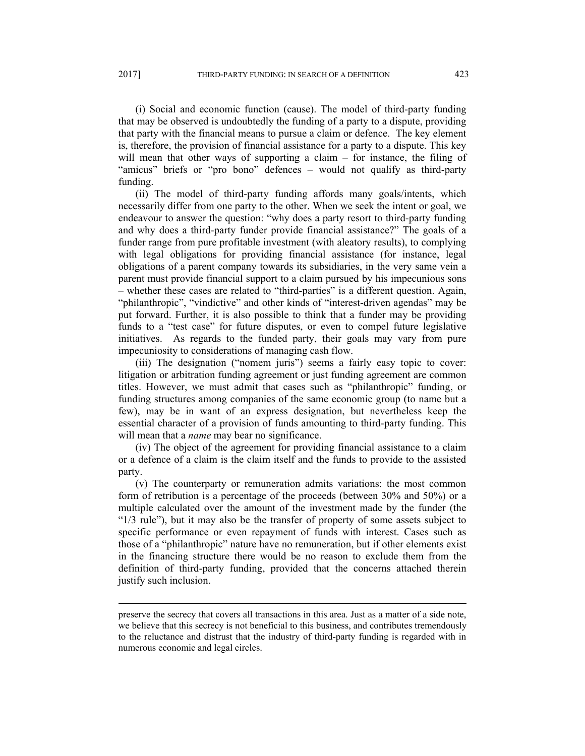(i) Social and economic function (cause). The model of third-party funding that may be observed is undoubtedly the funding of a party to a dispute, providing that party with the financial means to pursue a claim or defence. The key element is, therefore, the provision of financial assistance for a party to a dispute. This key will mean that other ways of supporting a claim – for instance, the filing of "amicus" briefs or "pro bono" defences – would not qualify as third-party funding.

(ii) The model of third-party funding affords many goals/intents, which necessarily differ from one party to the other. When we seek the intent or goal, we endeavour to answer the question: "why does a party resort to third-party funding and why does a third-party funder provide financial assistance?" The goals of a funder range from pure profitable investment (with aleatory results), to complying with legal obligations for providing financial assistance (for instance, legal obligations of a parent company towards its subsidiaries, in the very same vein a parent must provide financial support to a claim pursued by his impecunious sons – whether these cases are related to "third-parties" is a different question. Again, "philanthropic", "vindictive" and other kinds of "interest-driven agendas" may be put forward. Further, it is also possible to think that a funder may be providing funds to a "test case" for future disputes, or even to compel future legislative initiatives. As regards to the funded party, their goals may vary from pure impecuniosity to considerations of managing cash flow.

(iii) The designation ("nomem juris") seems a fairly easy topic to cover: litigation or arbitration funding agreement or just funding agreement are common titles. However, we must admit that cases such as "philanthropic" funding, or funding structures among companies of the same economic group (to name but a few), may be in want of an express designation, but nevertheless keep the essential character of a provision of funds amounting to third-party funding. This will mean that a *name* may bear no significance.

(iv) The object of the agreement for providing financial assistance to a claim or a defence of a claim is the claim itself and the funds to provide to the assisted party.

(v) The counterparty or remuneration admits variations: the most common form of retribution is a percentage of the proceeds (between 30% and 50%) or a multiple calculated over the amount of the investment made by the funder (the "1/3 rule"), but it may also be the transfer of property of some assets subject to specific performance or even repayment of funds with interest. Cases such as those of a "philanthropic" nature have no remuneration, but if other elements exist in the financing structure there would be no reason to exclude them from the definition of third-party funding, provided that the concerns attached therein justify such inclusion.

 $\overline{a}$ 

preserve the secrecy that covers all transactions in this area. Just as a matter of a side note, we believe that this secrecy is not beneficial to this business, and contributes tremendously to the reluctance and distrust that the industry of third-party funding is regarded with in numerous economic and legal circles.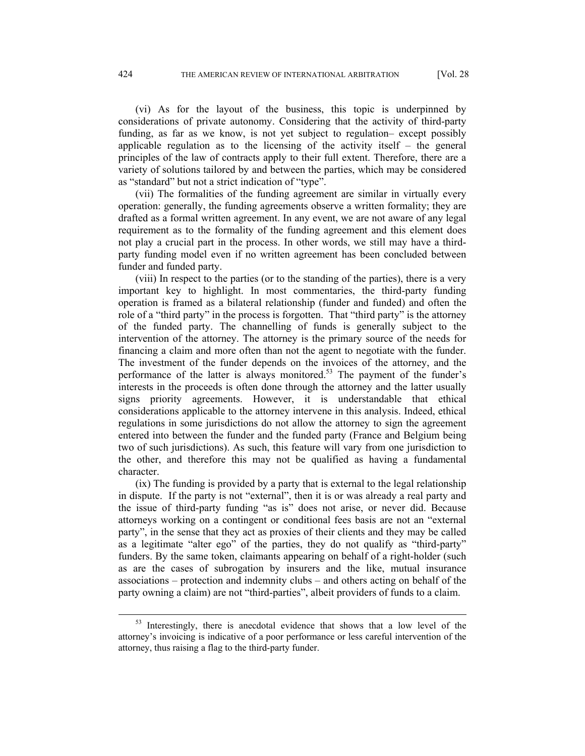(vi) As for the layout of the business, this topic is underpinned by considerations of private autonomy. Considering that the activity of third-party funding, as far as we know, is not yet subject to regulation– except possibly applicable regulation as to the licensing of the activity itself – the general principles of the law of contracts apply to their full extent. Therefore, there are a variety of solutions tailored by and between the parties, which may be considered as "standard" but not a strict indication of "type".

(vii) The formalities of the funding agreement are similar in virtually every operation: generally, the funding agreements observe a written formality; they are drafted as a formal written agreement. In any event, we are not aware of any legal requirement as to the formality of the funding agreement and this element does not play a crucial part in the process. In other words, we still may have a thirdparty funding model even if no written agreement has been concluded between funder and funded party.

(viii) In respect to the parties (or to the standing of the parties), there is a very important key to highlight. In most commentaries, the third-party funding operation is framed as a bilateral relationship (funder and funded) and often the role of a "third party" in the process is forgotten. That "third party" is the attorney of the funded party. The channelling of funds is generally subject to the intervention of the attorney. The attorney is the primary source of the needs for financing a claim and more often than not the agent to negotiate with the funder. The investment of the funder depends on the invoices of the attorney, and the performance of the latter is always monitored.<sup>53</sup> The payment of the funder's interests in the proceeds is often done through the attorney and the latter usually signs priority agreements. However, it is understandable that ethical considerations applicable to the attorney intervene in this analysis. Indeed, ethical regulations in some jurisdictions do not allow the attorney to sign the agreement entered into between the funder and the funded party (France and Belgium being two of such jurisdictions). As such, this feature will vary from one jurisdiction to the other, and therefore this may not be qualified as having a fundamental character.

(ix) The funding is provided by a party that is external to the legal relationship in dispute. If the party is not "external", then it is or was already a real party and the issue of third-party funding "as is" does not arise, or never did. Because attorneys working on a contingent or conditional fees basis are not an "external party", in the sense that they act as proxies of their clients and they may be called as a legitimate "alter ego" of the parties, they do not qualify as "third-party" funders. By the same token, claimants appearing on behalf of a right-holder (such as are the cases of subrogation by insurers and the like, mutual insurance associations – protection and indemnity clubs – and others acting on behalf of the party owning a claim) are not "third-parties", albeit providers of funds to a claim.

<sup>&</sup>lt;sup>53</sup> Interestingly, there is anecdotal evidence that shows that a low level of the attorney's invoicing is indicative of a poor performance or less careful intervention of the attorney, thus raising a flag to the third-party funder.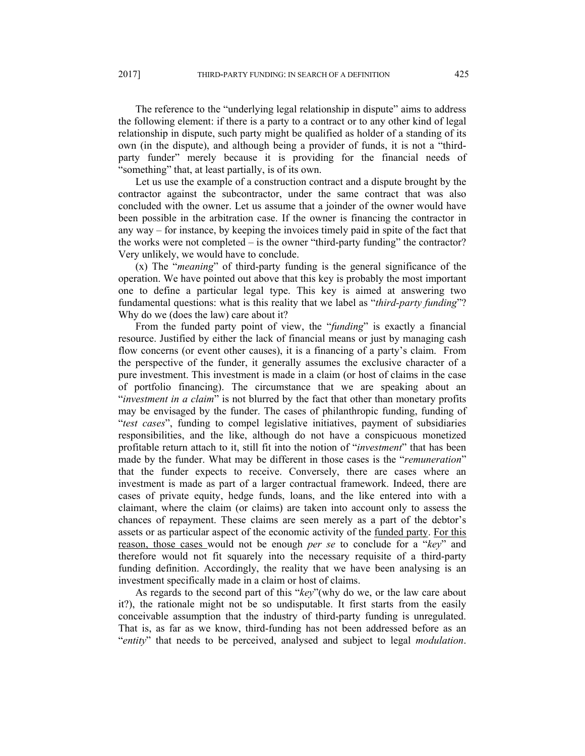The reference to the "underlying legal relationship in dispute" aims to address the following element: if there is a party to a contract or to any other kind of legal relationship in dispute, such party might be qualified as holder of a standing of its own (in the dispute), and although being a provider of funds, it is not a "thirdparty funder" merely because it is providing for the financial needs of "something" that, at least partially, is of its own.

Let us use the example of a construction contract and a dispute brought by the contractor against the subcontractor, under the same contract that was also concluded with the owner. Let us assume that a joinder of the owner would have been possible in the arbitration case. If the owner is financing the contractor in any way – for instance, by keeping the invoices timely paid in spite of the fact that the works were not completed – is the owner "third-party funding" the contractor? Very unlikely, we would have to conclude.

(x) The "*meaning*" of third-party funding is the general significance of the operation. We have pointed out above that this key is probably the most important one to define a particular legal type. This key is aimed at answering two fundamental questions: what is this reality that we label as "*third-party funding*"? Why do we (does the law) care about it?

From the funded party point of view, the "*funding*" is exactly a financial resource. Justified by either the lack of financial means or just by managing cash flow concerns (or event other causes), it is a financing of a party's claim. From the perspective of the funder, it generally assumes the exclusive character of a pure investment. This investment is made in a claim (or host of claims in the case of portfolio financing). The circumstance that we are speaking about an "*investment in a claim*" is not blurred by the fact that other than monetary profits may be envisaged by the funder. The cases of philanthropic funding, funding of "*test cases*", funding to compel legislative initiatives, payment of subsidiaries responsibilities, and the like, although do not have a conspicuous monetized profitable return attach to it, still fit into the notion of "*investment*" that has been made by the funder. What may be different in those cases is the "*remuneration*" that the funder expects to receive. Conversely, there are cases where an investment is made as part of a larger contractual framework. Indeed, there are cases of private equity, hedge funds, loans, and the like entered into with a claimant, where the claim (or claims) are taken into account only to assess the chances of repayment. These claims are seen merely as a part of the debtor's assets or as particular aspect of the economic activity of the funded party. For this reason, those cases would not be enough *per se* to conclude for a "*key*" and therefore would not fit squarely into the necessary requisite of a third-party funding definition. Accordingly, the reality that we have been analysing is an investment specifically made in a claim or host of claims.

As regards to the second part of this "*key*"(why do we, or the law care about it?), the rationale might not be so undisputable. It first starts from the easily conceivable assumption that the industry of third-party funding is unregulated. That is, as far as we know, third-funding has not been addressed before as an "*entity*" that needs to be perceived, analysed and subject to legal *modulation*.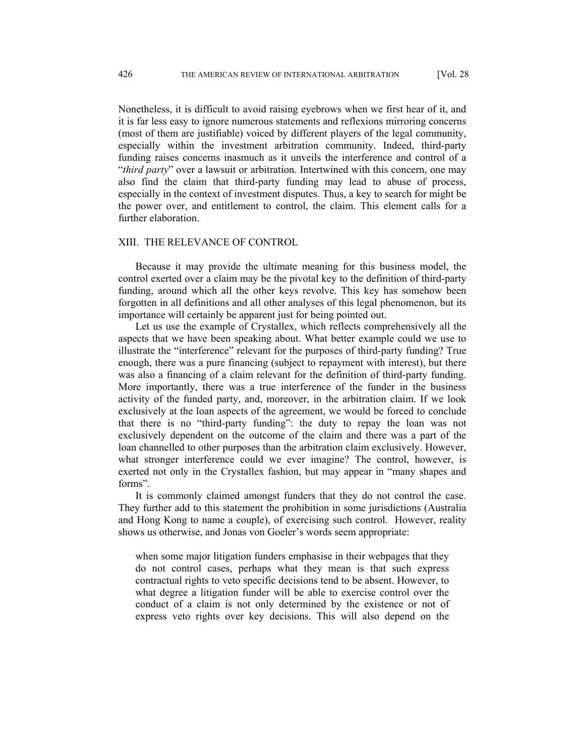Nonetheless, it is difficult to avoid raising eyebrows when we first hear of it, and it is far less easy to ignore numerous statements and reflexions mirroring concerns (most of them are justifiable) voiced by different players of the legal community, especially within the investment arbitration community. Indeed, third-party funding raises concerns inasmuch as it unveils the interference and control of a "*third party*" over a lawsuit or arbitration. Intertwined with this concern, one may also find the claim that third-party funding may lead to abuse of process, especially in the context of investment disputes. Thus, a key to search for might be the power over, and entitlement to control, the claim. This element calls for a further elaboration.

#### XIII. THE RELEVANCE OF CONTROL

Because it may provide the ultimate meaning for this business model, the control exerted over a claim may be the pivotal key to the definition of third-party funding, around which all the other keys revolve. This key has somehow been forgotten in all definitions and all other analyses of this legal phenomenon, but its importance will certainly be apparent just for being pointed out.

Let us use the example of Crystallex, which reflects comprehensively all the aspects that we have been speaking about. What better example could we use to illustrate the "interference" relevant for the purposes of third-party funding? True enough, there was a pure financing (subject to repayment with interest), but there was also a financing of a claim relevant for the definition of third-party funding. More importantly, there was a true interference of the funder in the business activity of the funded party, and, moreover, in the arbitration claim. If we look exclusively at the loan aspects of the agreement, we would be forced to conclude that there is no "third-party funding": the duty to repay the loan was not exclusively dependent on the outcome of the claim and there was a part of the loan channelled to other purposes than the arbitration claim exclusively. However, what stronger interference could we ever imagine? The control, however, is exerted not only in the Crystallex fashion, but may appear in "many shapes and forms".

It is commonly claimed amongst funders that they do not control the case. They further add to this statement the prohibition in some jurisdictions (Australia and Hong Kong to name a couple), of exercising such control. However, reality shows us otherwise, and Jonas von Goeler's words seem appropriate:

when some major litigation funders emphasise in their webpages that they do not control cases, perhaps what they mean is that such express contractual rights to veto specific decisions tend to be absent. However, to what degree a litigation funder will be able to exercise control over the conduct of a claim is not only determined by the existence or not of express veto rights over key decisions. This will also depend on the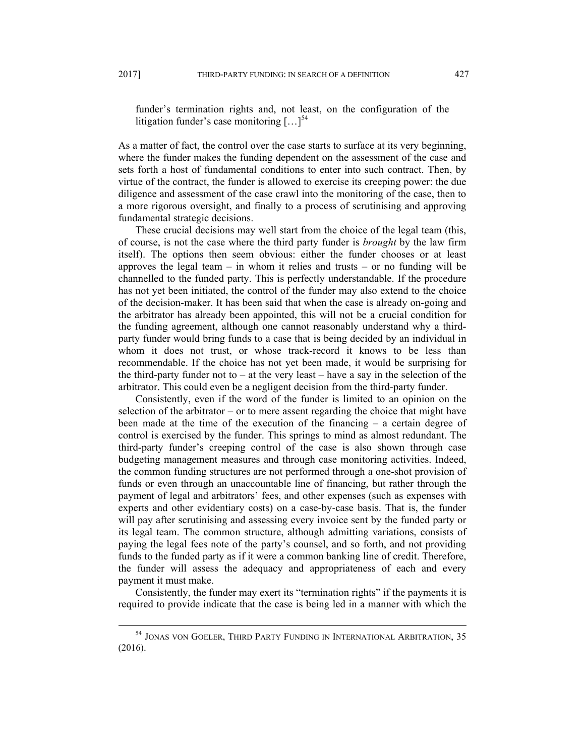funder's termination rights and, not least, on the configuration of the litigation funder's case monitoring  $\left[\ldots\right]^{54}$ 

As a matter of fact, the control over the case starts to surface at its very beginning, where the funder makes the funding dependent on the assessment of the case and sets forth a host of fundamental conditions to enter into such contract. Then, by virtue of the contract, the funder is allowed to exercise its creeping power: the due diligence and assessment of the case crawl into the monitoring of the case, then to a more rigorous oversight, and finally to a process of scrutinising and approving fundamental strategic decisions.

These crucial decisions may well start from the choice of the legal team (this, of course, is not the case where the third party funder is *brought* by the law firm itself). The options then seem obvious: either the funder chooses or at least approves the legal team  $-$  in whom it relies and trusts  $-$  or no funding will be channelled to the funded party. This is perfectly understandable. If the procedure has not yet been initiated, the control of the funder may also extend to the choice of the decision-maker. It has been said that when the case is already on-going and the arbitrator has already been appointed, this will not be a crucial condition for the funding agreement, although one cannot reasonably understand why a thirdparty funder would bring funds to a case that is being decided by an individual in whom it does not trust, or whose track-record it knows to be less than recommendable. If the choice has not yet been made, it would be surprising for the third-party funder not to  $-$  at the very least  $-$  have a say in the selection of the arbitrator. This could even be a negligent decision from the third-party funder.

Consistently, even if the word of the funder is limited to an opinion on the selection of the arbitrator – or to mere assent regarding the choice that might have been made at the time of the execution of the financing – a certain degree of control is exercised by the funder. This springs to mind as almost redundant. The third-party funder's creeping control of the case is also shown through case budgeting management measures and through case monitoring activities. Indeed, the common funding structures are not performed through a one-shot provision of funds or even through an unaccountable line of financing, but rather through the payment of legal and arbitrators' fees, and other expenses (such as expenses with experts and other evidentiary costs) on a case-by-case basis. That is, the funder will pay after scrutinising and assessing every invoice sent by the funded party or its legal team. The common structure, although admitting variations, consists of paying the legal fees note of the party's counsel, and so forth, and not providing funds to the funded party as if it were a common banking line of credit. Therefore, the funder will assess the adequacy and appropriateness of each and every payment it must make.

Consistently, the funder may exert its "termination rights" if the payments it is required to provide indicate that the case is being led in a manner with which the

<sup>&</sup>lt;sup>54</sup> JONAS VON GOELER, THIRD PARTY FUNDING IN INTERNATIONAL ARBITRATION, 35 (2016).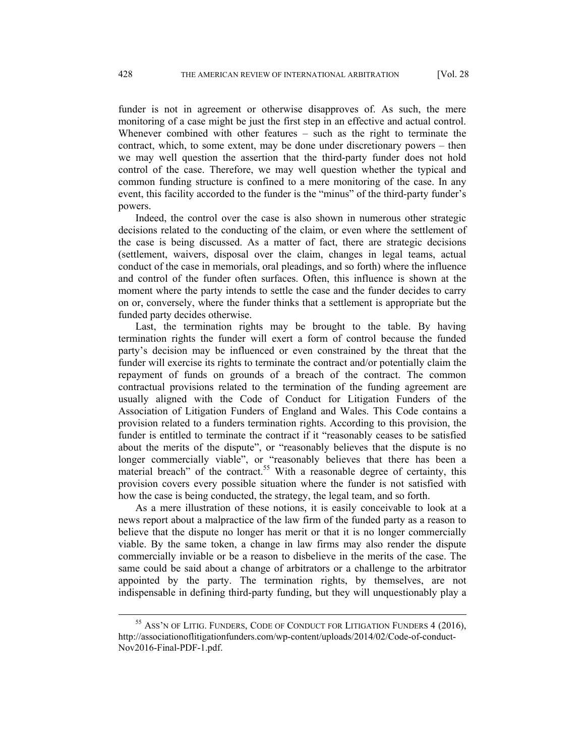funder is not in agreement or otherwise disapproves of. As such, the mere monitoring of a case might be just the first step in an effective and actual control. Whenever combined with other features – such as the right to terminate the contract, which, to some extent, may be done under discretionary powers – then we may well question the assertion that the third-party funder does not hold control of the case. Therefore, we may well question whether the typical and common funding structure is confined to a mere monitoring of the case. In any event, this facility accorded to the funder is the "minus" of the third-party funder's powers.

Indeed, the control over the case is also shown in numerous other strategic decisions related to the conducting of the claim, or even where the settlement of the case is being discussed. As a matter of fact, there are strategic decisions (settlement, waivers, disposal over the claim, changes in legal teams, actual conduct of the case in memorials, oral pleadings, and so forth) where the influence and control of the funder often surfaces. Often, this influence is shown at the moment where the party intends to settle the case and the funder decides to carry on or, conversely, where the funder thinks that a settlement is appropriate but the funded party decides otherwise.

Last, the termination rights may be brought to the table. By having termination rights the funder will exert a form of control because the funded party's decision may be influenced or even constrained by the threat that the funder will exercise its rights to terminate the contract and/or potentially claim the repayment of funds on grounds of a breach of the contract. The common contractual provisions related to the termination of the funding agreement are usually aligned with the Code of Conduct for Litigation Funders of the Association of Litigation Funders of England and Wales. This Code contains a provision related to a funders termination rights. According to this provision, the funder is entitled to terminate the contract if it "reasonably ceases to be satisfied about the merits of the dispute", or "reasonably believes that the dispute is no longer commercially viable", or "reasonably believes that there has been a material breach" of the contract.<sup>55</sup> With a reasonable degree of certainty, this provision covers every possible situation where the funder is not satisfied with how the case is being conducted, the strategy, the legal team, and so forth.

As a mere illustration of these notions, it is easily conceivable to look at a news report about a malpractice of the law firm of the funded party as a reason to believe that the dispute no longer has merit or that it is no longer commercially viable. By the same token, a change in law firms may also render the dispute commercially inviable or be a reason to disbelieve in the merits of the case. The same could be said about a change of arbitrators or a challenge to the arbitrator appointed by the party. The termination rights, by themselves, are not indispensable in defining third-party funding, but they will unquestionably play a

<sup>&</sup>lt;sup>55</sup> ASS'N OF LITIG. FUNDERS, CODE OF CONDUCT FOR LITIGATION FUNDERS 4 (2016), http://associationoflitigationfunders.com/wp-content/uploads/2014/02/Code-of-conduct-Nov2016-Final-PDF-1.pdf.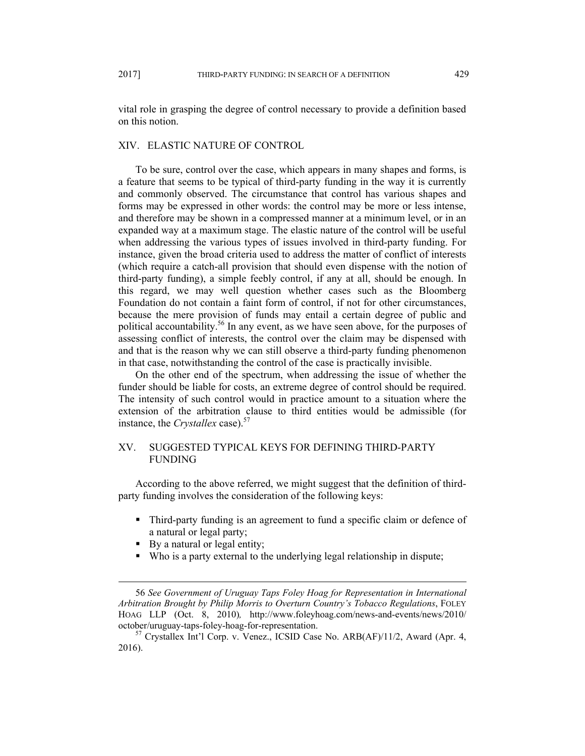vital role in grasping the degree of control necessary to provide a definition based on this notion.

## XIV. ELASTIC NATURE OF CONTROL

To be sure, control over the case, which appears in many shapes and forms, is a feature that seems to be typical of third-party funding in the way it is currently and commonly observed. The circumstance that control has various shapes and forms may be expressed in other words: the control may be more or less intense, and therefore may be shown in a compressed manner at a minimum level, or in an expanded way at a maximum stage. The elastic nature of the control will be useful when addressing the various types of issues involved in third-party funding. For instance, given the broad criteria used to address the matter of conflict of interests (which require a catch-all provision that should even dispense with the notion of third-party funding), a simple feebly control, if any at all, should be enough. In this regard, we may well question whether cases such as the Bloomberg Foundation do not contain a faint form of control, if not for other circumstances, because the mere provision of funds may entail a certain degree of public and political accountability.<sup>56</sup> In any event, as we have seen above, for the purposes of assessing conflict of interests, the control over the claim may be dispensed with and that is the reason why we can still observe a third-party funding phenomenon in that case, notwithstanding the control of the case is practically invisible.

On the other end of the spectrum, when addressing the issue of whether the funder should be liable for costs, an extreme degree of control should be required. The intensity of such control would in practice amount to a situation where the extension of the arbitration clause to third entities would be admissible (for instance, the *Crystallex* case).<sup>57</sup>

# XV. SUGGESTED TYPICAL KEYS FOR DEFINING THIRD-PARTY FUNDING

 According to the above referred, we might suggest that the definition of thirdparty funding involves the consideration of the following keys:

- Third-party funding is an agreement to fund a specific claim or defence of a natural or legal party;
- By a natural or legal entity;
- Who is a party external to the underlying legal relationship in dispute;

 <sup>56</sup> *See Government of Uruguay Taps Foley Hoag for Representation in International Arbitration Brought by Philip Morris to Overturn Country's Tobacco Regulations*, FOLEY HOAG LLP (Oct. 8, 2010)*,* http://www.foleyhoag.com/news-and-events/news/2010/ october/uruguay-taps-foley-hoag-for-representation. 57 Crystallex Int'l Corp. v. Venez., ICSID Case No. ARB(AF)/11/2, Award (Apr. 4,

<sup>2016).</sup>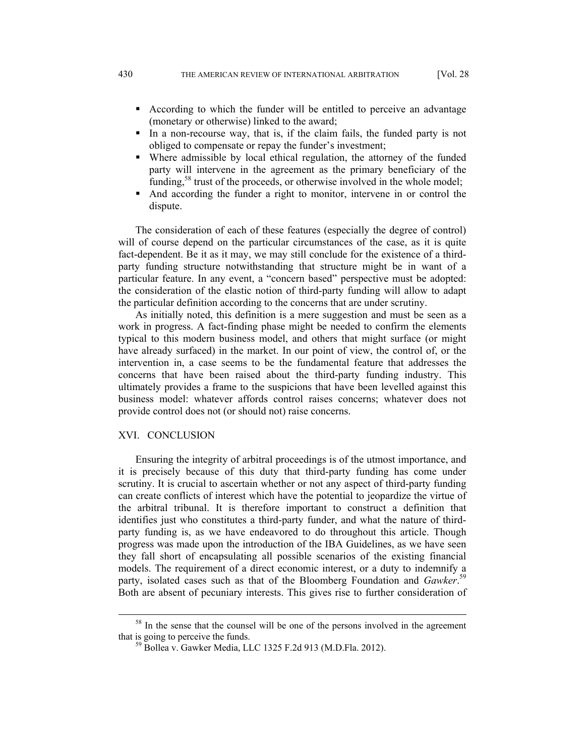- According to which the funder will be entitled to perceive an advantage (monetary or otherwise) linked to the award;
- In a non-recourse way, that is, if the claim fails, the funded party is not obliged to compensate or repay the funder's investment;
- Where admissible by local ethical regulation, the attorney of the funded party will intervene in the agreement as the primary beneficiary of the funding, $58$  trust of the proceeds, or otherwise involved in the whole model;
- And according the funder a right to monitor, intervene in or control the dispute.

The consideration of each of these features (especially the degree of control) will of course depend on the particular circumstances of the case, as it is quite fact-dependent. Be it as it may, we may still conclude for the existence of a thirdparty funding structure notwithstanding that structure might be in want of a particular feature. In any event, a "concern based" perspective must be adopted: the consideration of the elastic notion of third-party funding will allow to adapt the particular definition according to the concerns that are under scrutiny.

As initially noted, this definition is a mere suggestion and must be seen as a work in progress. A fact-finding phase might be needed to confirm the elements typical to this modern business model, and others that might surface (or might have already surfaced) in the market. In our point of view, the control of, or the intervention in, a case seems to be the fundamental feature that addresses the concerns that have been raised about the third-party funding industry. This ultimately provides a frame to the suspicions that have been levelled against this business model: whatever affords control raises concerns; whatever does not provide control does not (or should not) raise concerns.

### XVI. CONCLUSION

Ensuring the integrity of arbitral proceedings is of the utmost importance, and it is precisely because of this duty that third-party funding has come under scrutiny. It is crucial to ascertain whether or not any aspect of third-party funding can create conflicts of interest which have the potential to jeopardize the virtue of the arbitral tribunal. It is therefore important to construct a definition that identifies just who constitutes a third-party funder, and what the nature of thirdparty funding is, as we have endeavored to do throughout this article. Though progress was made upon the introduction of the IBA Guidelines, as we have seen they fall short of encapsulating all possible scenarios of the existing financial models. The requirement of a direct economic interest, or a duty to indemnify a party, isolated cases such as that of the Bloomberg Foundation and *Gawker*. 59 Both are absent of pecuniary interests. This gives rise to further consideration of

<sup>&</sup>lt;sup>58</sup> In the sense that the counsel will be one of the persons involved in the agreement that is going to perceive the funds. 59 Bollea v. Gawker Media, LLC 1325 F.2d 913 (M.D.Fla. 2012).